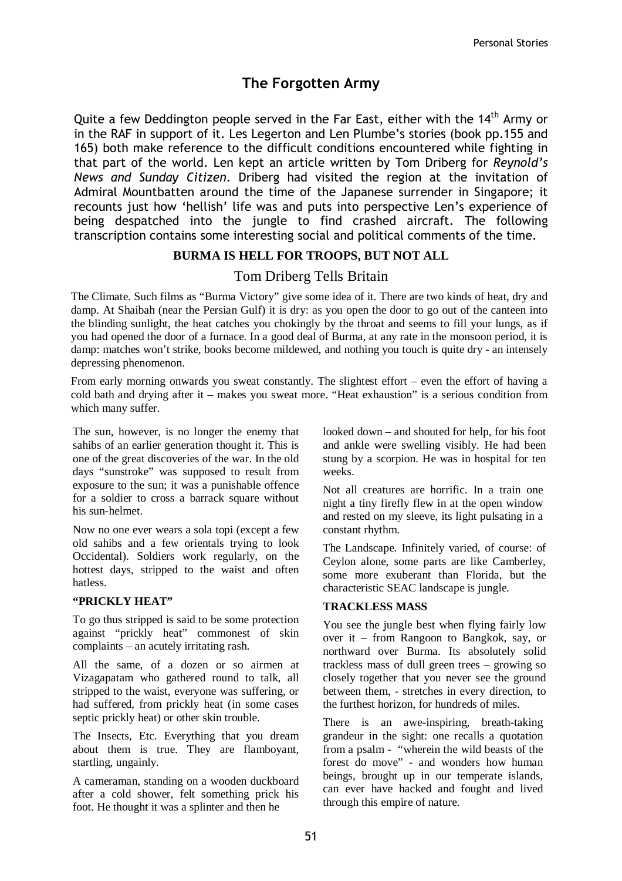# The Forgotten Army

Quite a few Deddington people served in the Far East, either with the  $14<sup>th</sup>$  Army or in the RAF in support of it. Les Legerton and Len Plumbe's stories (book pp.155 and 165) both make reference to the difficult conditions encountered while fighting in that part of the world. Len kept an article written by Tom Driberg for Reynold's News and Sunday Citizen. Driberg had visited the region at the invitation of Admiral Mountbatten around the time of the Japanese surrender in Singapore; it recounts just how 'hellish' life was and puts into perspective Len's experience of being despatched into the jungle to find crashed aircraft. The following transcription contains some interesting social and political comments of the time.

## **BURMA IS HELL FOR TROOPS, BUT NOT ALL**

# Tom Driberg Tells Britain

The Climate. Such films as "Burma Victory" give some idea of it. There are two kinds of heat, dry and damp. At Shaibah (near the Persian Gulf) it is dry: as you open the door to go out of the canteen into the blinding sunlight, the heat catches you chokingly by the throat and seems to fill your lungs, as if you had opened the door of a furnace. In a good deal of Burma, at any rate in the monsoon period, it is damp: matches won't strike, books become mildewed, and nothing you touch is quite dry - an intensely depressing phenomenon.

From early morning onwards you sweat constantly. The slightest effort – even the effort of having a cold bath and drying after it – makes you sweat more. "Heat exhaustion" is a serious condition from which many suffer.

 one of the great discoveries of the war. In the old The sun, however, is no longer the enemy that sahibs of an earlier generation thought it. This is days "sunstroke" was supposed to result from exposure to the sun; it was a punishable offence for a soldier to cross a barrack square without his sun-helmet.

Now no one ever wears a sola topi (except a few old sahibs and a few orientals trying to look Occidental). Soldiers work regularly, on the hottest days, stripped to the waist and often hatless.

### **"PRICKLY HEAT"**

To go thus stripped is said to be some protection against "prickly heat" commonest of skin complaints – an acutely irritating rash.

All the same, of a dozen or so airmen at Vizagapatam who gathered round to talk, all stripped to the waist, everyone was suffering, or had suffered, from prickly heat (in some cases septic prickly heat) or other skin trouble.

The Insects, Etc. Everything that you dream about them is true. They are flamboyant, startling, ungainly.

A cameraman, standing on a wooden duckboard after a cold shower, felt something prick his foot. He thought it was a splinter and then he

looked down – and shouted for help, for his foot and ankle were swelling visibly. He had been stung by a scorpion. He was in hospital for ten weeks.

Not all creatures are horrific. In a train one night a tiny firefly flew in at the open window and rested on my sleeve, its light pulsating in a constant rhythm.

The Landscape. Infinitely varied, of course: of Ceylon alone, some parts are like Camberley, some more exuberant than Florida, but the characteristic SEAC landscape is jungle.

### **TRACKLESS MASS**

You see the jungle best when flying fairly low over it – from Rangoon to Bangkok, say, or northward over Burma. Its absolutely solid trackless mass of dull green trees – growing so closely together that you never see the ground between them, - stretches in every direction, to the furthest horizon, for hundreds of miles.

There is an awe-inspiring, breath-taking grandeur in the sight: one recalls a quotation from a psalm - "wherein the wild beasts of the forest do move" - and wonders how human beings, brought up in our temperate islands, can ever have hacked and fought and lived through this empire of nature.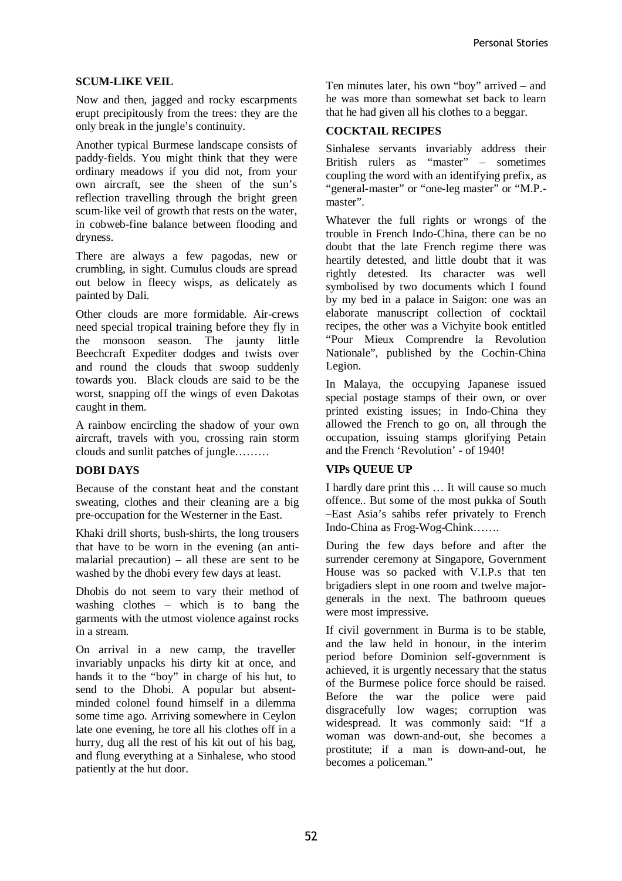### **SCUM-LIKE VEIL**

Now and then, jagged and rocky escarpments erupt precipitously from the trees: they are the only break in the jungle's continuity.

Another typical Burmese landscape consists of paddy-fields. You might think that they were ordinary meadows if you did not, from your own aircraft, see the sheen of the sun's reflection travelling through the bright green scum-like veil of growth that rests on the water, in cobweb-fine balance between flooding and dryness.

There are always a few pagodas, new or crumbling, in sight. Cumulus clouds are spread out below in fleecy wisps, as delicately as painted by Dali.

Other clouds are more formidable. Air-crews need special tropical training before they fly in the monsoon season. The jaunty little Beechcraft Expediter dodges and twists over and round the clouds that swoop suddenly towards you. Black clouds are said to be the worst, snapping off the wings of even Dakotas caught in them.

A rainbow encircling the shadow of your own aircraft, travels with you, crossing rain storm clouds and sunlit patches of jungle………

### **DOBI DAYS**

Because of the constant heat and the constant sweating, clothes and their cleaning are a big pre-occupation for the Westerner in the East.

Khaki drill shorts, bush-shirts, the long trousers that have to be worn in the evening (an antimalarial precaution) – all these are sent to be washed by the dhobi every few days at least.

Dhobis do not seem to vary their method of washing clothes – which is to bang the garments with the utmost violence against rocks in a stream.

hurry, dug all the rest of his kit out of his bag, On arrival in a new camp, the traveller invariably unpacks his dirty kit at once, and hands it to the "boy" in charge of his hut, to send to the Dhobi. A popular but absentminded colonel found himself in a dilemma some time ago. Arriving somewhere in Ceylon late one evening, he tore all his clothes off in a and flung everything at a Sinhalese, who stood patiently at the hut door.

Ten minutes later, his own "boy" arrived – and he was more than somewhat set back to learn that he had given all his clothes to a beggar.

#### **COCKTAIL RECIPES**

Sinhalese servants invariably address their British rulers as "master" – sometimes coupling the word with an identifying prefix, as "general-master" or "one-leg master" or "M.P. master".

Whatever the full rights or wrongs of the trouble in French Indo-China, there can be no doubt that the late French regime there was heartily detested, and little doubt that it was rightly detested. Its character was well symbolised by two documents which I found by my bed in a palace in Saigon: one was an elaborate manuscript collection of cocktail recipes, the other was a Vichyite book entitled "Pour Mieux Comprendre la Revolution Nationale", published by the Cochin-China Legion.

In Malaya, the occupying Japanese issued special postage stamps of their own, or over printed existing issues; in Indo-China they allowed the French to go on, all through the occupation, issuing stamps glorifying Petain and the French 'Revolution' - of 1940!

### **VIPs QUEUE UP**

I hardly dare print this … It will cause so much offence.. But some of the most pukka of South –East Asia's sahibs refer privately to French Indo-China as Frog-Wog-Chink…….

During the few days before and after the surrender ceremony at Singapore, Government House was so packed with V.I.P.s that ten brigadiers slept in one room and twelve majorgenerals in the next. The bathroom queues were most impressive.

If civil government in Burma is to be stable, and the law held in honour, in the interim period before Dominion self-government is achieved, it is urgently necessary that the status of the Burmese police force should be raised. Before the war the police were paid disgracefully low wages; corruption was widespread. It was commonly said: "If a woman was down-and-out, she becomes a prostitute; if a man is down-and-out, he becomes a policeman."